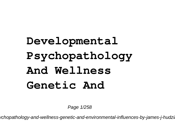## **Developmental Psychopathology And Wellness Genetic And**

Page 1/258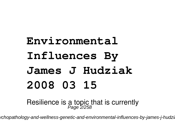## **Environmental Influences By James J Hudziak 2008 03 15**

Resilience is a topic that is currently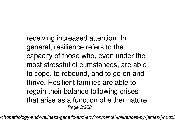receiving increased attention. In general, resilience refers to the capacity of those who, even under the most stressful circumstances, are able to cope, to rebound, and to go on and thrive. Resilient families are able to regain their balance following crises that arise as a function of either nature Page 3/258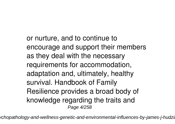or nurture, and to continue to encourage and support their members as they deal with the necessary requirements for accommodation, adaptation and, ultimately, healthy survival. Handbook of Family Resilience provides a broad body of knowledge regarding the traits and Page 4/258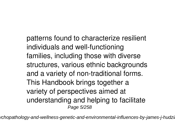patterns found to characterize resilient individuals and well-functioning families, including those with diverse structures, various ethnic backgrounds and a variety of non-traditional forms. This Handbook brings together a variety of perspectives aimed at understanding and helping to facilitate Page 5/258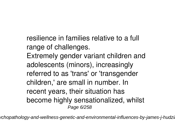- resilience in families relative to a full range of challenges.
- Extremely gender variant children and adolescents (minors), increasingly referred to as 'trans' or 'transgender children,' are small in number. In recent years, their situation has become highly sensationalized, whilst Page 6/258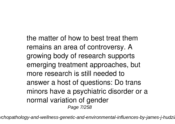the matter of how to best treat them remains an area of controversy. A growing body of research supports emerging treatment approaches, but more research is still needed to answer a host of questions: Do trans minors have a psychiatric disorder or a normal variation of gender Page 7/258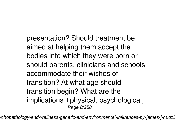presentation? Should treatment be aimed at helping them accept the bodies into which they were born or should parents, clinicians and schools accommodate their wishes of transition? At what age should transition begin? What are the implications  $\square$  physical, psychological, Page 8/258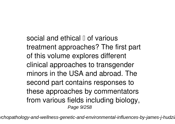social and ethical  $\parallel$  of various treatment approaches? The first part of this volume explores different clinical approaches to transgender minors in the USA and abroad. The second part contains responses to these approaches by commentators from various fields including biology, Page 9/258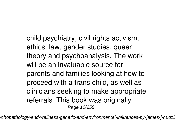child psychiatry, civil rights activism, ethics, law, gender studies, queer theory and psychoanalysis. The work will be an invaluable source for parents and families looking at how to proceed with a trans child, as well as clinicians seeking to make appropriate referrals. This book was originally Page 10/258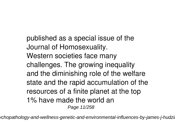published as a special issue of the Journal of Homosexuality. Western societies face many challenges. The growing inequality and the diminishing role of the welfare state and the rapid accumulation of the resources of a finite planet at the top 1% have made the world an Page 11/258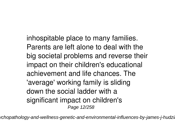inhospitable place to many families. Parents are left alone to deal with the big societal problems and reverse their impact on their children's educational achievement and life chances. The 'average' working family is sliding down the social ladder with a significant impact on children's Page 12/258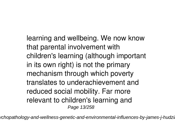learning and wellbeing. We now know that parental involvement with children's learning (although important in its own right) is not the primary mechanism through which poverty translates to underachievement and reduced social mobility. Far more relevant to children's learning and Page 13/258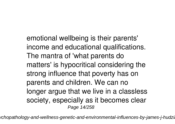emotional wellbeing is their parents' income and educational qualifications. The mantra of 'what parents do matters' is hypocritical considering the strong influence that poverty has on parents and children. We can no longer argue that we live in a classless society, especially as it becomes clear Page 14/258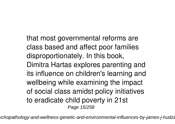that most governmental reforms are class based and affect poor families disproportionately. In this book, Dimitra Hartas explores parenting and its influence on children's learning and wellbeing while examining the impact of social class amidst policy initiatives to eradicate child poverty in 21st Page 15/258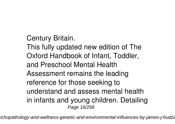Century Britain.

This fully updated new edition of The Oxford Handbook of Infant, Toddler, and Preschool Mental Health Assessment remains the leading reference for those seeking to understand and assess mental health in infants and young children. Detailing Page 16/258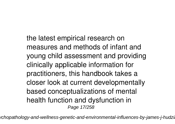the latest empirical research on measures and methods of infant and young child assessment and providing clinically applicable information for practitioners, this handbook takes a closer look at current developmentally based conceptualizations of mental health function and dysfunction in Page 17/258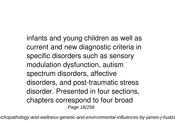infants and young children as well as current and new diagnostic criteria in specific disorders such as sensory modulation dysfunction, autism spectrum disorders, affective disorders, and post-traumatic stress disorder. Presented in four sections, chapters correspond to four broad Page 18/258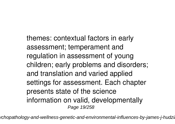themes: contextual factors in early assessment; temperament and regulation in assessment of young children; early problems and disorders; and translation and varied applied settings for assessment. Each chapter presents state of the science information on valid, developmentally Page 19/258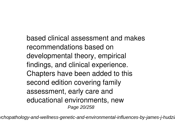based clinical assessment and makes recommendations based on developmental theory, empirical findings, and clinical experience. Chapters have been added to this second edition covering family assessment, early care and educational environments, new Page 20/258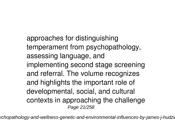approaches for distinguishing temperament from psychopathology, assessing language, and implementing second stage screening and referral. The volume recognizes and highlights the important role of developmental, social, and cultural contexts in approaching the challenge Page 21/258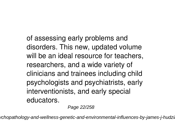of assessing early problems and disorders. This new, updated volume will be an ideal resource for teachers, researchers, and a wide variety of clinicians and trainees including child psychologists and psychiatrists, early interventionists, and early special educators.

Page 22/258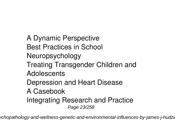A Dynamic Perspective Best Practices in School Neuropsychology Treating Transgender Children and **Adolescents** Depression and Heart Disease A Casebook Integrating Research and Practice Page 23/258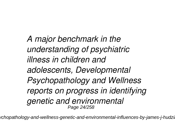*A major benchmark in the understanding of psychiatric illness in children and adolescents, Developmental Psychopathology and Wellness reports on progress in identifying genetic and environmental* Page 24/258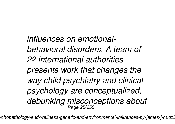*influences on emotionalbehavioral disorders. A team of 22 international authorities presents work that changes the way child psychiatry and clinical psychology are conceptualized, debunking misconceptions about* Page 25/258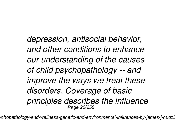*depression, antisocial behavior, and other conditions to enhance our understanding of the causes of child psychopathology -- and improve the ways we treat these disorders. Coverage of basic principles describes the influence* Page 26/258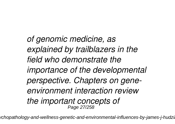*of genomic medicine, as explained by trailblazers in the field who demonstrate the importance of the developmental perspective. Chapters on geneenvironment interaction review the important concepts of* Page 27/258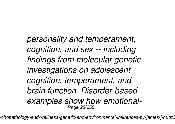*personality and temperament, cognition, and sex -- including findings from molecular genetic investigations on adolescent cognition, temperament, and brain function. Disorder-based examples show how emotional-*Page 28/258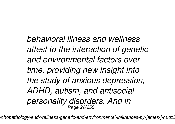*behavioral illness and wellness attest to the interaction of genetic and environmental factors over time, providing new insight into the study of anxious depression, ADHD, autism, and antisocial personality disorders. And in* Page 29/258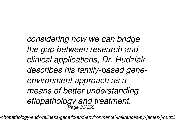*considering how we can bridge the gap between research and clinical applications, Dr. Hudziak describes his family-based geneenvironment approach as a means of better understanding etiopathology and treatment.* Page 30/258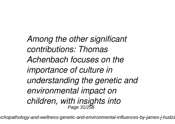*Among the other significant contributions: Thomas Achenbach focuses on the importance of culture in understanding the genetic and environmental impact on children, with insights into* Page 31/258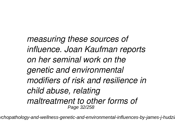*measuring these sources of influence. Joan Kaufman reports on her seminal work on the genetic and environmental modifiers of risk and resilience in child abuse, relating maltreatment to other forms of* Page 32/258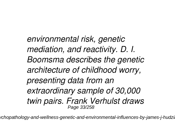*environmental risk, genetic mediation, and reactivity. D. I. Boomsma describes the genetic architecture of childhood worry, presenting data from an extraordinary sample of 30,000 twin pairs. Frank Verhulst draws* Page 33/258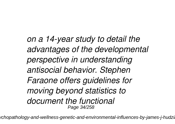*on a 14-year study to detail the advantages of the developmental perspective in understanding antisocial behavior. Stephen Faraone offers guidelines for moving beyond statistics to document the functional* Page 34/258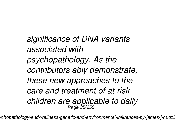*significance of DNA variants associated with psychopathology. As the contributors ably demonstrate, these new approaches to the care and treatment of at-risk children are applicable to daily* Page 35/258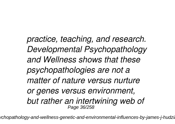*practice, teaching, and research. Developmental Psychopathology and Wellness shows that these psychopathologies are not a matter of nature versus nurture or genes versus environment, but rather an intertwining web of* Page 36/258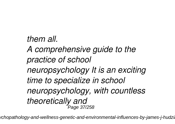*them all.*

*A comprehensive guide to the practice of school neuropsychology It is an exciting time to specialize in school neuropsychology, with countless theoretically and* Page 37/258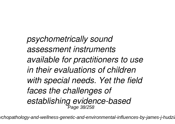*psychometrically sound assessment instruments available for practitioners to use in their evaluations of children with special needs. Yet the field faces the challenges of establishing evidence-based* Page 38/258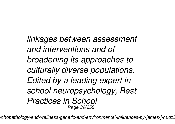*linkages between assessment and interventions and of broadening its approaches to culturally diverse populations. Edited by a leading expert in school neuropsychology, Best Practices in School* Page 39/258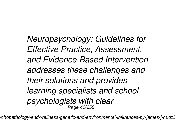*Neuropsychology: Guidelines for Effective Practice, Assessment, and Evidence-Based Intervention addresses these challenges and their solutions and provides learning specialists and school psychologists with clear* Page 40/258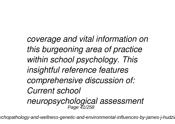*coverage and vital information on this burgeoning area of practice within school psychology. This insightful reference features comprehensive discussion of: Current school neuropsychological assessment* Page 41/258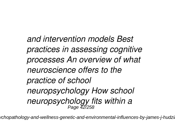*and intervention models Best practices in assessing cognitive processes An overview of what neuroscience offers to the practice of school neuropsychology How school neuropsychology fits within a* Page 42/258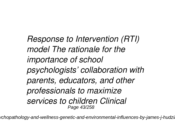*Response to Intervention (RTI) model The rationale for the importance of school psychologists' collaboration with parents, educators, and other professionals to maximize services to children Clinical* Page 43/258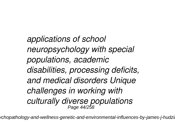*applications of school neuropsychology with special populations, academic disabilities, processing deficits, and medical disorders Unique challenges in working with culturally diverse populations* Page 44/258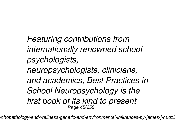*Featuring contributions from internationally renowned school psychologists, neuropsychologists, clinicians, and academics, Best Practices in School Neuropsychology is the first book of its kind to present* Page 45/258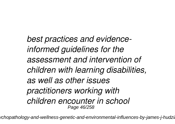*best practices and evidenceinformed guidelines for the assessment and intervention of children with learning disabilities, as well as other issues practitioners working with children encounter in school* Page 46/258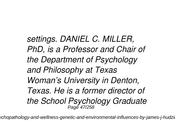*settings. DANIEL C. MILLER, PhD, is a Professor and Chair of the Department of Psychology and Philosophy at Texas Woman's University in Denton, Texas. He is a former director of the School Psychology Graduate* Page 47/258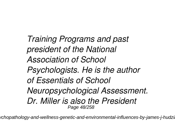*Training Programs and past president of the National Association of School Psychologists. He is the author of Essentials of School Neuropsychological Assessment. Dr. Miller is also the President* Page 48/258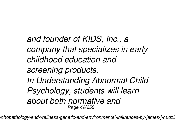*and founder of KIDS, Inc., a company that specializes in early childhood education and screening products. In Understanding Abnormal Child Psychology, students will learn about both normative and* Page 49/258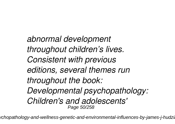*abnormal development throughout children's lives. Consistent with previous editions, several themes run throughout the book: Developmental psychopathology: Children's and adolescents'* Page 50/258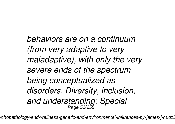*behaviors are on a continuum (from very adaptive to very maladaptive), with only the very severe ends of the spectrum being conceptualized as disorders. Diversity, inclusion, and understanding: Special* Page 51/258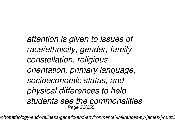*attention is given to issues of race/ethnicity, gender, family constellation, religious orientation, primary language, socioeconomic status, and physical differences to help students see the commonalities* Page 52/258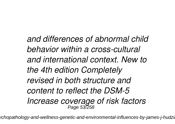*and differences of abnormal child behavior within a cross-cultural and international context. New to the 4th edition Completely revised in both structure and content to reflect the DSM-5 Increase coverage of risk factors* Page 53/258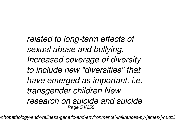*related to long-term effects of sexual abuse and bullying. Increased coverage of diversity to include new "diversities" that have emerged as important, i.e. transgender children New research on suicide and suicide* Page 54/258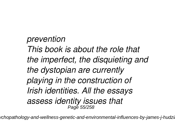*prevention This book is about the role that the imperfect, the disquieting and the dystopian are currently playing in the construction of Irish identities. All the essays assess identity issues that* Page 55/258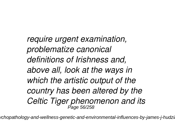*require urgent examination, problematize canonical definitions of Irishness and, above all, look at the ways in which the artistic output of the country has been altered by the* Celtic Tiger phenomenon and its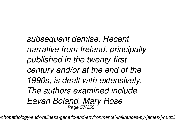*subsequent demise. Recent narrative from Ireland, principally published in the twenty-first century and/or at the end of the 1990s, is dealt with extensively. The authors examined include Eavan Boland, Mary Rose* Page 57/258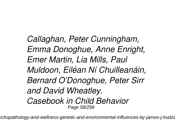*Callaghan, Peter Cunningham, Emma Donoghue, Anne Enright, Emer Martin, Lia Mills, Paul Muldoon, Eiléan Ní Chuilleanáin, Bernard O'Donoghue, Peter Sirr and David Wheatley. Casebook in Child Behavior* Page 58/258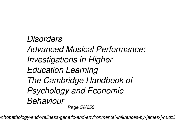*Disorders Advanced Musical Performance: Investigations in Higher Education Learning The Cambridge Handbook of Psychology and Economic Behaviour* Page 59/258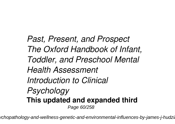*Past, Present, and Prospect The Oxford Handbook of Infant, Toddler, and Preschool Mental Health Assessment Introduction to Clinical Psychology* **This updated and expanded third** Page 60/258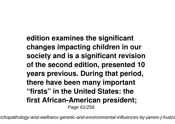**edition examines the significant changes impacting children in our society and is a significant revision of the second edition, presented 10 years previous. During that period, there have been many important "firsts" in the United States: the first African-American president;** Page 61/258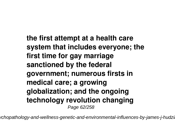**the first attempt at a health care system that includes everyone; the first time for gay marriage sanctioned by the federal government; numerous firsts in medical care; a growing globalization; and the ongoing technology revolution changing** Page 62/258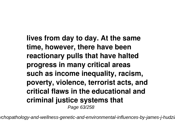**lives from day to day. At the same time, however, there have been reactionary pulls that have halted progress in many critical areas such as income inequality, racism, poverty, violence, terrorist acts, and critical flaws in the educational and criminal justice systems that** Page 63/258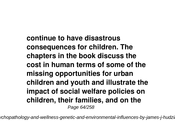**continue to have disastrous consequences for children. The chapters in the book discuss the cost in human terms of some of the missing opportunities for urban children and youth and illustrate the impact of social welfare policies on children, their families, and on the** Page 64/258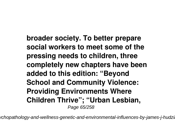**broader society. To better prepare social workers to meet some of the pressing needs to children, three completely new chapters have been added to this edition: "Beyond School and Community Violence: Providing Environments Where Children Thrive"; "Urban Lesbian,** Page 65/258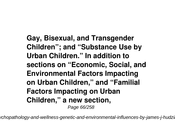**Gay, Bisexual, and Transgender Children"; and "Substance Use by Urban Children." In addition to sections on "Economic, Social, and Environmental Factors Impacting on Urban Children," and "Familial Factors Impacting on Urban Children," a new section,** Page 66/258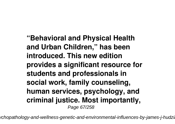**"Behavioral and Physical Health and Urban Children," has been introduced. This new edition provides a significant resource for students and professionals in social work, family counseling, human services, psychology, and criminal justice. Most importantly,** Page 67/258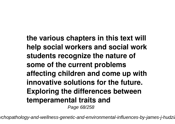**the various chapters in this text will help social workers and social work students recognize the nature of some of the current problems affecting children and come up with innovative solutions for the future. Exploring the differences between temperamental traits and** Page 68/258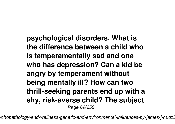**psychological disorders. What is the difference between a child who is temperamentally sad and one who has depression? Can a kid be angry by temperament without being mentally ill? How can two thrill-seeking parents end up with a shy, risk-averse child? The subject** Page 69/258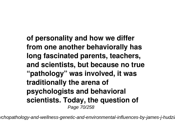**of personality and how we differ from one another behaviorally has long fascinated parents, teachers, and scientists, but because no true "pathology" was involved, it was traditionally the arena of psychologists and behavioral scientists. Today, the question of** Page 70/258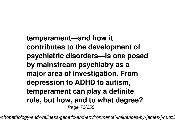**temperament—and how it contributes to the development of psychiatric disorders—is one posed by mainstream psychiatry as a major area of investigation. From depression to ADHD to autism, temperament can play a definite role, but how, and to what degree?** Page 71/258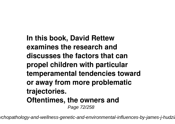**In this book, David Rettew examines the research and discusses the factors that can propel children with particular temperamental tendencies toward or away from more problematic trajectories. Oftentimes, the owners and** Page 72/258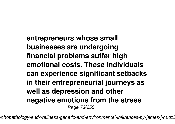**entrepreneurs whose small businesses are undergoing financial problems suffer high emotional costs. These individuals can experience significant setbacks in their entrepreneurial journeys as well as depression and other negative emotions from the stress** Page 73/258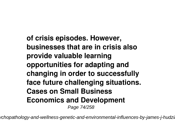**of crisis episodes. However, businesses that are in crisis also provide valuable learning opportunities for adapting and changing in order to successfully face future challenging situations. Cases on Small Business Economics and Development** Page 74/258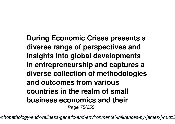**During Economic Crises presents a diverse range of perspectives and insights into global developments in entrepreneurship and captures a diverse collection of methodologies and outcomes from various countries in the realm of small business economics and their** Page 75/258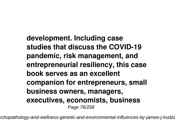**development. Including case studies that discuss the COVID-19 pandemic, risk management, and entrepreneurial resiliency, this case book serves as an excellent companion for entrepreneurs, small business owners, managers, executives, economists, business** Page 76/258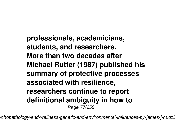**professionals, academicians, students, and researchers. More than two decades after Michael Rutter (1987) published his summary of protective processes associated with resilience, researchers continue to report definitional ambiguity in how to** Page 77/258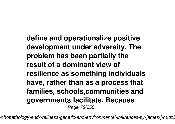**define and operationalize positive development under adversity. The problem has been partially the result of a dominant view of resilience as something individuals have, rather than as a process that families, schools,communities and governments facilitate. Because** Page 78/258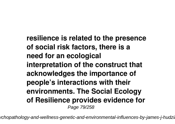**resilience is related to the presence of social risk factors, there is a need for an ecological interpretation of the construct that acknowledges the importance of people's interactions with their environments. The Social Ecology of Resilience provides evidence for** Page 79/258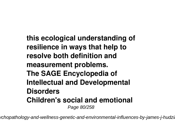**this ecological understanding of resilience in ways that help to resolve both definition and measurement problems. The SAGE Encyclopedia of Intellectual and Developmental Disorders Children's social and emotional** Page 80/258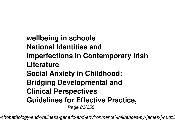**wellbeing in schools National Identities and Imperfections in Contemporary Irish Literature Social Anxiety in Childhood: Bridging Developmental and Clinical Perspectives Guidelines for Effective Practice,** Page 81/258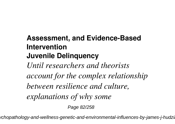## **Assessment, and Evidence-Based Intervention Juvenile Delinquency**

*Until researchers and theorists account for the complex relationship between resilience and culture, explanations of why some*

Page 82/258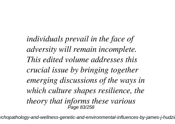*individuals prevail in the face of adversity will remain incomplete. This edited volume addresses this crucial issue by bringing together emerging discussions of the ways in which culture shapes resilience, the theory that informs these various* Page 83/258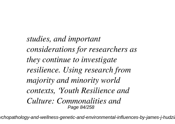*studies, and important considerations for researchers as they continue to investigate resilience. Using research from majority and minority world contexts, 'Youth Resilience and Culture: Commonalities and* Page 84/258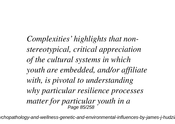*Complexities' highlights that nonstereotypical, critical appreciation of the cultural systems in which youth are embedded, and/or affiliate with, is pivotal to understanding why particular resilience processes matter for particular youth in a* Page 85/258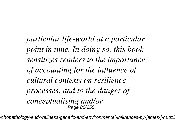*particular life-world at a particular point in time. In doing so, this book sensitizes readers to the importance of accounting for the influence of cultural contexts on resilience processes, and to the danger of conceptualising and/or* Page 86/258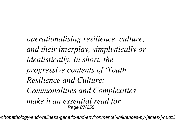*operationalising resilience, culture, and their interplay, simplistically or idealistically. In short, the progressive contents of 'Youth Resilience and Culture: Commonalities and Complexities' make it an essential read for* Page 87/258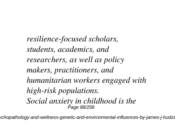*resilience-focused scholars, students, academics, and researchers, as well as policy makers, practitioners, and humanitarian workers engaged with high-risk populations. Social anxiety in childhood is the* Page 88/258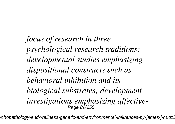*focus of research in three psychological research traditions: developmental studies emphasizing dispositional constructs such as behavioral inhibition and its biological substrates; development investigations emphasizing affective-*Page 89/258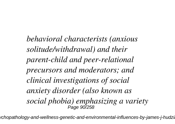*behavioral characterists (anxious solitude/withdrawal) and their parent-child and peer-relational precursors and moderators; and clinical investigations of social anxiety disorder (also known as social phobia) emphasizing a variety* Page 90/258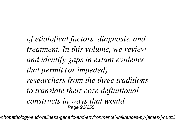*of etiolofical factors, diagnosis, and treatment. In this volume, we review and identify gaps in extant evidence that permit (or impeded) researchers from the three traditions to translate their core definitional constructs in ways that would* Page 91/258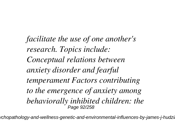*facilitate the use of one another's research. Topics include: Conceptual relations between anxiety disorder and fearful temperament Factors contributing to the emergence of anxiety among behaviorally inhibited children: the* Page 92/258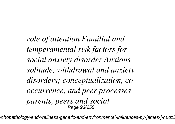*role of attention Familial and temperamental risk factors for social anxiety disorder Anxious solitude, withdrawal and anxiety disorders; conceptualization, cooccurrence, and peer processes parents, peers and social* Page 93/258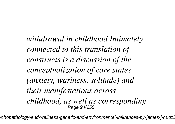*withdrawal in childhood Intimately connected to this translation of constructs is a discussion of the conceptualization of core states (anxiety, wariness, solitude) and their manifestations across childhood, as well as corresponding* Page 94/258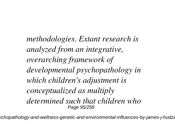*methodologies. Extant research is analyzed from an integrative, overarching framework of developmental psychopathology in which children's adjustment is conceptualized as multiply determined such that children who* Page 95/258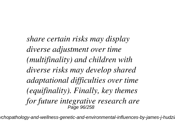*share certain risks may display diverse adjustment over time (multifinality) and children with diverse risks may develop shared adaptational difficulties over time (equifinality). Finally, key themes for future integrative research are* Page 96/258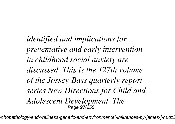*identified and implications for preventative and early intervention in childhood social anxiety are discussed. This is the 127th volume of the Jossey-Bass quarterly report series New Directions for Child and Adolescent Development. The* Page 97/258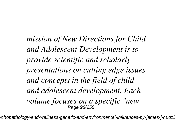*mission of New Directions for Child and Adolescent Development is to provide scientific and scholarly presentations on cutting edge issues and concepts in the field of child and adolescent development. Each volume focuses on a specific "new* Page 98/258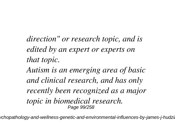*direction" or research topic, and is edited by an expert or experts on that topic.*

*Autism is an emerging area of basic and clinical research, and has only recently been recognized as a major topic in biomedical research.* Page 99/258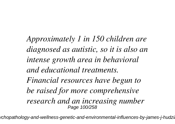*Approximately 1 in 150 children are diagnosed as autistic, so it is also an intense growth area in behavioral and educational treatments. Financial resources have begun to be raised for more comprehensive research and an increasing number* Page 100/258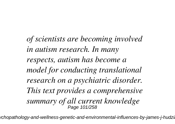*of scientists are becoming involved in autism research. In many respects, autism has become a model for conducting translational research on a psychiatric disorder. This text provides a comprehensive summary of all current knowledge* Page 101/258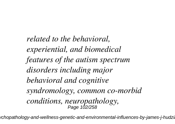*related to the behavioral, experiential, and biomedical features of the autism spectrum disorders including major behavioral and cognitive syndromology, common co-morbid conditions, neuropathology,* Page 102/258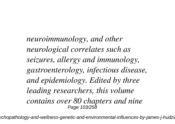*neuroimmunology, and other neurological correlates such as seizures, allergy and immunology, gastroenterology, infectious disease, and epidemiology. Edited by three leading researchers, this volume contains over 80 chapters and nine* Page 103/258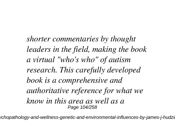*shorter commentaries by thought leaders in the field, making the book a virtual "who's who" of autism research. This carefully developed book is a comprehensive and authoritative reference for what we know in this area as well as a* Page 104/258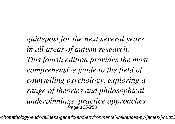*guidepost for the next several years in all areas of autism research. This fourth edition provides the most comprehensive guide to the field of counselling psychology, exploring a range of theories and philosophical underpinnings, practice approaches* Page 105/258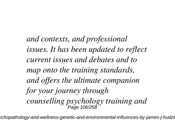*and contexts, and professional issues. It has been updated to reflect current issues and debates and to map onto the training standards, and offers the ultimate companion for your journey through counselling psychology training and* Page 106/258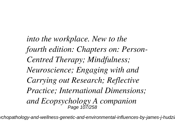*into the workplace. New to the fourth edition: Chapters on: Person-Centred Therapy; Mindfulness; Neuroscience; Engaging with and Carrying out Research; Reflective Practice; International Dimensions; and Ecopsychology A companion* Page 107/258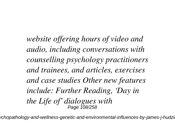*website offering hours of video and audio, including conversations with counselling psychology practitioners and trainees, and articles, exercises and case studies Other new features include: Further Reading, 'Day in the Life of' dialogues with* Page 108/258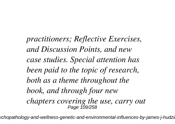*practitioners; Reflective Exercises, and Discussion Points, and new case studies. Special attention has been paid to the topic of research, both as a theme throughout the book, and through four new chapters covering the use, carry out* Page 109/258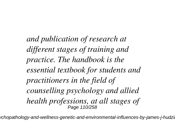*and publication of research at different stages of training and practice. The handbook is the essential textbook for students and practitioners in the field of counselling psychology and allied health professions, at all stages of* Page 110/258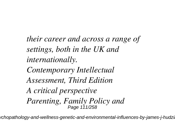*their career and across a range of settings, both in the UK and internationally. Contemporary Intellectual Assessment, Third Edition A critical perspective Parenting, Family Policy and* Page 111/258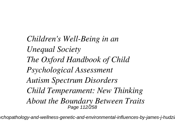*Children's Well-Being in an Unequal Society The Oxford Handbook of Child Psychological Assessment Autism Spectrum Disorders Child Temperament: New Thinking About the Boundary Between Traits* Page 112/258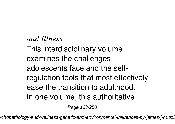*and Illness* This interdisciplinary volume examines the challenges adolescents face and the selfregulation tools that most effectively ease the transition to adulthood. In one volume, this authoritative

Page 113/258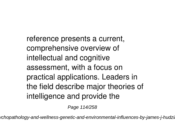reference presents a current, comprehensive overview of intellectual and cognitive assessment, with a focus on practical applications. Leaders in the field describe major theories of intelligence and provide the

Page 114/258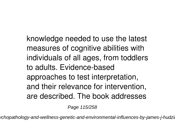knowledge needed to use the latest measures of cognitive abilities with individuals of all ages, from toddlers to adults. Evidence-based approaches to test interpretation, and their relevance for intervention, are described. The book addresses

Page 115/258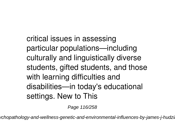critical issues in assessing particular populations—including culturally and linguistically diverse students, gifted students, and those with learning difficulties and disabilities—in today's educational settings. New to This

Page 116/258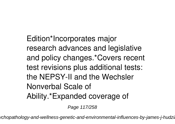Edition\*Incorporates major research advances and legislative and policy changes.\*Covers recent test revisions plus additional tests: the NEPSY-II and the Wechsler Nonverbal Scale of Ability.\*Expanded coverage of

Page 117/258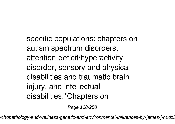specific populations: chapters on autism spectrum disorders, attention-deficit/hyperactivity disorder, sensory and physical disabilities and traumatic brain injury, and intellectual disabilities.\*Chapters on

Page 118/258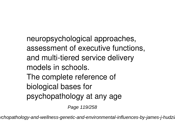neuropsychological approaches, assessment of executive functions, and multi-tiered service delivery models in schools. The complete reference of biological bases for

psychopathology at any age

Page 119/258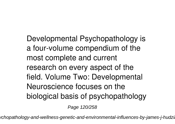Developmental Psychopathology is a four-volume compendium of the most complete and current research on every aspect of the field. Volume Two: Developmental Neuroscience focuses on the biological basis of psychopathology

Page 120/258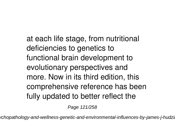at each life stage, from nutritional deficiencies to genetics to functional brain development to evolutionary perspectives and more. Now in its third edition, this comprehensive reference has been fully updated to better reflect the

Page 121/258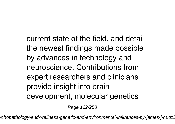current state of the field, and detail the newest findings made possible by advances in technology and neuroscience. Contributions from expert researchers and clinicians provide insight into brain development, molecular genetics

Page 122/258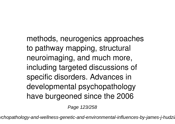methods, neurogenics approaches to pathway mapping, structural neuroimaging, and much more, including targeted discussions of specific disorders. Advances in developmental psychopathology have burgeoned since the 2006

Page 123/258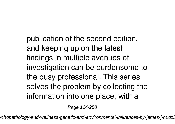publication of the second edition, and keeping up on the latest findings in multiple avenues of investigation can be burdensome to the busy professional. This series solves the problem by collecting the information into one place, with a

Page 124/258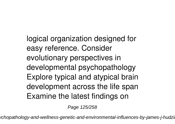logical organization designed for easy reference. Consider evolutionary perspectives in developmental psychopathology Explore typical and atypical brain development across the life span Examine the latest findings on

Page 125/258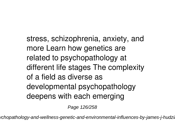stress, schizophrenia, anxiety, and more Learn how genetics are related to psychopathology at different life stages The complexity of a field as diverse as developmental psychopathology deepens with each emerging

Page 126/258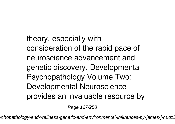theory, especially with consideration of the rapid pace of neuroscience advancement and genetic discovery. Developmental Psychopathology Volume Two: Developmental Neuroscience provides an invaluable resource by

Page 127/258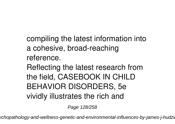compiling the latest information into a cohesive, broad-reaching reference.

Reflecting the latest research from the field, CASEBOOK IN CHILD BEHAVIOR DISORDERS, 5e vividly illustrates the rich and

Page 128/258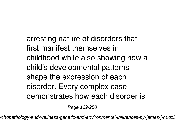arresting nature of disorders that first manifest themselves in childhood while also showing how a child's developmental patterns shape the expression of each disorder. Every complex case demonstrates how each disorder is

Page 129/258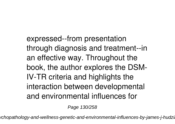expressed--from presentation through diagnosis and treatment--in an effective way. Throughout the book, the author explores the DSM-IV-TR criteria and highlights the interaction between developmental and environmental influences for

Page 130/258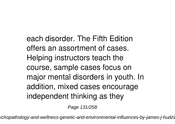each disorder. The Fifth Edition offers an assortment of cases. Helping instructors teach the course, sample cases focus on major mental disorders in youth. In addition, mixed cases encourage independent thinking as they

Page 131/258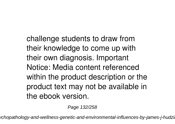challenge students to draw from their knowledge to come up with their own diagnosis. Important Notice: Media content referenced within the product description or the product text may not be available in the ebook version.

Page 132/258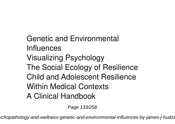Genetic and Environmental Influences Visualizing Psychology The Social Ecology of Resilience Child and Adolescent Resilience Within Medical Contexts A Clinical Handbook

Page 133/258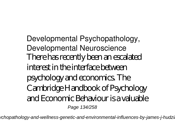Developmental Psychopathology, Developmental Neuroscience There has recently been an escalated interest in the interface between psychology and economics. The Cambridge Handbook of Psychology and Economic Behaviour is a valuable Page 134/258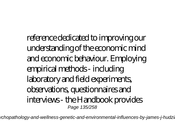reference dedicated to improving our understanding of the economic mind and economic behaviour. Employing empirical methods - including laboratory and field experiments, observations, questionnaires and interviews - the Handbook provides Page 135/258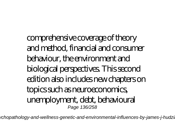comprehensive coverage of theory and method, financial and consumer behaviour, the environment and biological perspectives. This second edition also includes new chapters on topics such as neuroeconomics, unemployment, debt, behavioural Page 136/258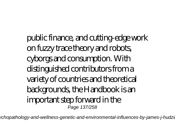public finance, and cutting-edge work on fuzzy trace theory and robots, cyborgs and consumption. With distinguished contributors from a variety of countries and theoretical backgrounds, the Handbook is an important step forward in the Page 137/258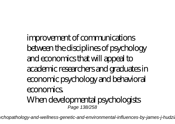improvement of communications between the disciplines of psychology and economics that will appeal to academic researchers and graduates in economic psychology and behavioral economics. When developmental psychologists Page 138/258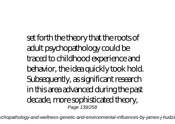set forth the theory that the roots of adult psychopathology could be traced to childhood experience and behavior, the idea quickly took hold. Subsequently, as significant research in this area advanced during the past decade, more sophisticated theory, Page 139/258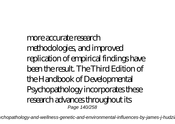more accurate research methodologies, and improved replication of empirical findings have been the result. The Third Edition of the Handbook of Developmental Psychopathology incorporates these research advances throughout its Page 140/258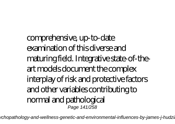comprehensive, up-to-date examination of this diverse and maturing field. Integrative state-of-theart models document the complex interplay of risk and protective factors and other variables contributing to normal and pathological Page 141/258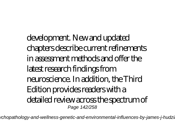development. New and updated chapters describe current refinements in assessment methods and offer the latest research findings from neuroscience. In addition, the Third Edition provides readers with a detailed review across the spectrum of Page 142/258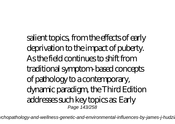salient topics, from the effects of early deprivation to the impact of puberty. As the field continues to shift from traditional symptom-based concepts of pathology to a contemporary, dynamic paradigm, the Third Edition addresses such key topics as: Early Page 143/258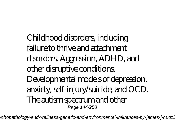Childhood disorders, including failure to thrive and attachment disorders. Aggression, ADHD, and other disruptive conditions. Developmental models of depression, anxiety, self-injury/suicide, and OCD. The autism spectrum and other Page 144/258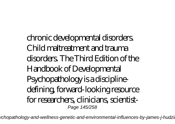chronic developmental disorders. Child maltreatment and trauma disorders. The Third Edition of the Handbook of Developmental Psychopathology is a disciplinedefining, forward-looking resource for researchers, clinicians, scientist-Page 145/258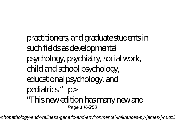practitioners, and graduate students in such fields as developmental psychology, psychiatry, social work, child and school psychology, educational psychology, and pediatrics."p> "This new edition has many new and Page 146/258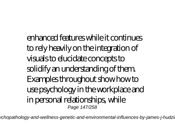enhanced features while it continues to rely heavily on the integration of visuals to elucidate concepts to solidify an understanding of them. Examples throughout show how to use psychology in the workplace and in personal relationships, while Page 147/258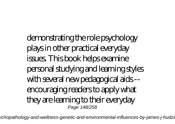demonstrating the role psychology plays in other practical everyday issues. This book helps examine personal studying and learning styles with several new pedagogical aids - encouraging readers to apply what they are learning to their everyday Page 148/258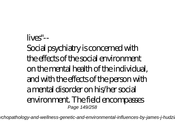lives"-- Social psychiatry is concerned with the effects of the social environment on the mental health of the individual, and with the effects of the person with a mental disorder on his/her social environment. The field encompasses Page 149/258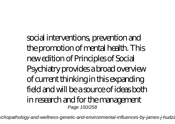social interventions, prevention and the promotion of mental health. This new edition of Principles of Social Psychiatry provides a broad overview of current thinking in this expanding field and will be a source of ideas both in research and for the management Page 150/258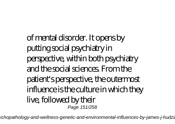of mental disorder. It opens by putting social psychiatry in perspective, within both psychiatry and the social sciences. From the patient's perspective, the outermost influence is the culture in which they live, followed by their Page 151/258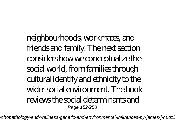neighbourhoods, workmates, and friends and family. The next section considers how we conceptualize the social world, from families through cultural identify and ethnicity to the wider social environment. The book reviews the social determinants and Page 152/258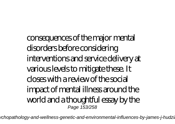consequences of the major mental disorders before considering interventions and service delivery at various levels to mitigate these. It closes with a review of the social impact of mental illness around the world and a thoughtful essay by the Page 153/258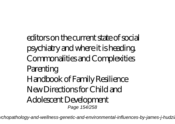editors on the current state of social psychiatry and where it is heading. Commonalities and Complexities Parenting Handbook of Family Resilience New Directions for Child and Adolescent Development Page 154/258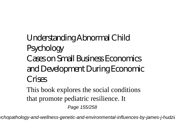Understanding Abnormal Child Psychology Cases on Small Business Economics and Development During Economic Crises

This book explores the social conditions that promote pediatric resilience. It Page 155/258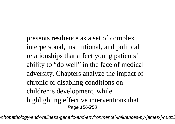presents resilience as a set of complex interpersonal, institutional, and political relationships that affect young patients' ability to "do well" in the face of medical adversity. Chapters analyze the impact of chronic or disabling conditions on children's development, while highlighting effective interventions that Page 156/258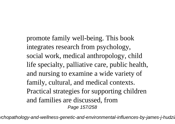promote family well-being. This book integrates research from psychology, social work, medical anthropology, child life specialty, palliative care, public health, and nursing to examine a wide variety of family, cultural, and medical contexts. Practical strategies for supporting children and families are discussed, from Page 157/258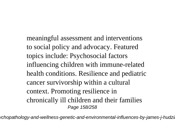meaningful assessment and interventions to social policy and advocacy. Featured topics include: Psychosocial factors influencing children with immune-related health conditions. Resilience and pediatric cancer survivorship within a cultural context. Promoting resilience in chronically ill children and their families Page 158/258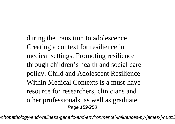during the transition to adolescence. Creating a context for resilience in medical settings. Promoting resilience through children's health and social care policy. Child and Adolescent Resilience Within Medical Contexts is a must-have resource for researchers, clinicians and other professionals, as well as graduate Page 159/258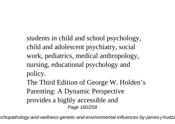students in child and school psychology, child and adolescent psychiatry, social work, pediatrics, medical anthropology, nursing, educational psychology and policy.

The Third Edition of George W. Holden's Parenting: A Dynamic Perspective provides a highly accessible and Page 160/258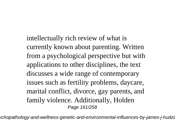intellectually rich review of what is currently known about parenting. Written from a psychological perspective but with applications to other disciplines, the text discusses a wide range of contemporary issues such as fertility problems, daycare, marital conflict, divorce, gay parents, and family violence. Additionally, Holden Page 161/258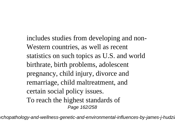includes studies from developing and non-Western countries, as well as recent statistics on such topics as U.S. and world birthrate, birth problems, adolescent pregnancy, child injury, divorce and remarriage, child maltreatment, and certain social policy issues. To reach the highest standards of Page 162/258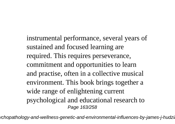instrumental performance, several years of sustained and focused learning are required. This requires perseverance, commitment and opportunities to learn and practise, often in a collective musical environment. This book brings together a wide range of enlightening current psychological and educational research to Page 163/258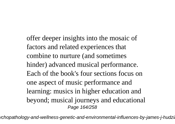offer deeper insights into the mosaic of factors and related experiences that combine to nurture (and sometimes hinder) advanced musical performance. Each of the book's four sections focus on one aspect of music performance and learning: musics in higher education and beyond; musical journeys and educational Page 164/258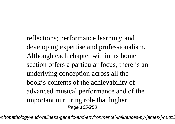reflections; performance learning; and developing expertise and professionalism. Although each chapter within its home section offers a particular focus, there is an underlying conception across all the book's contents of the achievability of advanced musical performance and of the important nurturing role that higher Page 165/258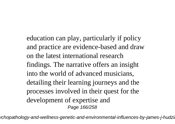education can play, particularly if policy and practice are evidence-based and draw on the latest international research findings. The narrative offers an insight into the world of advanced musicians, detailing their learning journeys and the processes involved in their quest for the development of expertise and Page 166/258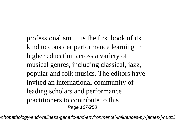professionalism. It is the first book of its kind to consider performance learning in higher education across a variety of musical genres, including classical, jazz, popular and folk musics. The editors have invited an international community of leading scholars and performance practitioners to contribute to this Page 167/258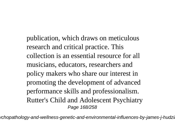publication, which draws on meticulous research and critical practice. This collection is an essential resource for all musicians, educators, researchers and policy makers who share our interest in promoting the development of advanced performance skills and professionalism. Rutter's Child and Adolescent Psychiatry Page 168/258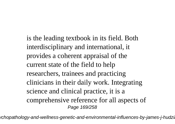is the leading textbook in its field. Both interdisciplinary and international, it provides a coherent appraisal of the current state of the field to help researchers, trainees and practicing clinicians in their daily work. Integrating science and clinical practice, it is a comprehensive reference for all aspects of Page 169/258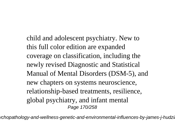child and adolescent psychiatry. New to this full color edition are expanded coverage on classification, including the newly revised Diagnostic and Statistical Manual of Mental Disorders (DSM-5), and new chapters on systems neuroscience, relationship-based treatments, resilience, global psychiatry, and infant mental Page 170/258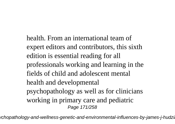health. From an international team of expert editors and contributors, this sixth edition is essential reading for all professionals working and learning in the fields of child and adolescent mental health and developmental psychopathology as well as for clinicians working in primary care and pediatric Page 171/258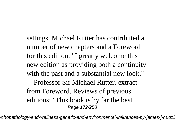settings. Michael Rutter has contributed a number of new chapters and a Foreword for this edition: "I greatly welcome this new edition as providing both a continuity with the past and a substantial new look." —Professor Sir Michael Rutter, extract from Foreword. Reviews of previous editions: "This book is by far the best Page 172/258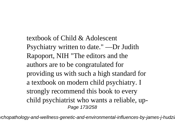textbook of Child & Adolescent Psychiatry written to date." —Dr Judith Rapoport, NIH "The editors and the authors are to be congratulated for providing us with such a high standard for a textbook on modern child psychiatry. I strongly recommend this book to every child psychiatrist who wants a reliable, up-Page 173/258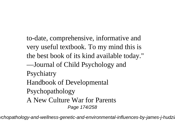to-date, comprehensive, informative and very useful textbook. To my mind this is the best book of its kind available today." —Journal of Child Psychology and **Psychiatry** Handbook of Developmental Psychopathology A New Culture War for Parents Page 174/258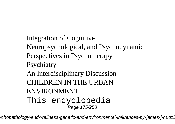Integration of Cognitive, Neuropsychological, and Psychodynamic Perspectives in Psychotherapy **Psychiatry** An Interdisciplinary Discussion CHILDREN IN THE URBAN ENVIRONMENT This encyclopedia Page 175/258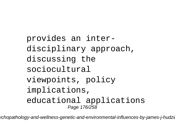```
provides an inter-
disciplinary approach,
discussing the
sociocultural
viewpoints, policy
implications,
educational applications
         Page 176/258
```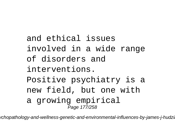and ethical issues involved in a wide range of disorders and interventions. Positive psychiatry is a new field, but one with a growing empirical Page 177/258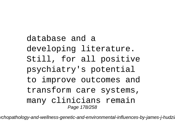## database and a developing literature. Still, for all positive psychiatry's potential to improve outcomes and transform care systems, many clinicians remain Page 178/258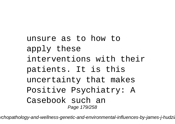unsure as to how to apply these interventions with their patients. It is this uncertainty that makes Positive Psychiatry: A Casebook such an Page 179/258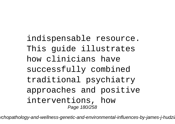indispensable resource. This guide illustrates how clinicians have successfully combined traditional psychiatry approaches and positive interventions, how Page 180/258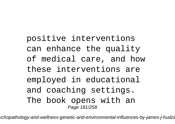positive interventions can enhance the quality of medical care, and how these interventions are employed in educational and coaching settings. The book opens with an Page 181/258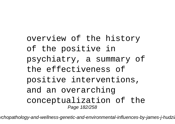overview of the history of the positive in psychiatry, a summary of the effectiveness of positive interventions, and an overarching conceptualization of the Page 182/258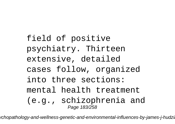field of positive psychiatry. Thirteen extensive, detailed cases follow, organized into three sections: mental health treatment (e.g., schizophrenia and Page 183/258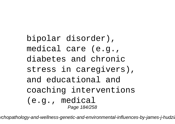bipolar disorder), medical care (e.g., diabetes and chronic stress in caregivers), and educational and coaching interventions (e.g., medical Page 184/258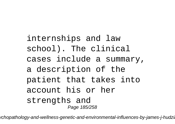internships and law school). The clinical cases include a summary, a description of the patient that takes into account his or her strengths and Page 185/258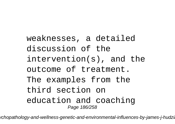weaknesses, a detailed discussion of the intervention(s), and the outcome of treatment. The examples from the third section on education and coaching Page 186/258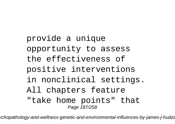provide a unique opportunity to assess the effectiveness of positive interventions in nonclinical settings. All chapters feature "take home points" that Page 187/258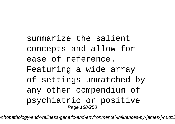summarize the salient concepts and allow for ease of reference. Featuring a wide array of settings unmatched by any other compendium of psychiatric or positive Page 188/258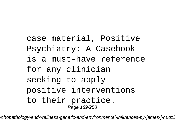## case material, Positive Psychiatry: A Casebook is a must-have reference for any clinician seeking to apply positive interventions to their practice. Page 189/258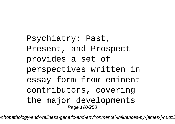Psychiatry: Past, Present, and Prospect provides a set of perspectives written in essay form from eminent contributors, covering the major developments Page 190/258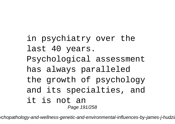## in psychiatry over the last 40 years. Psychological assessment has always paralleled the growth of psychology and its specialties, and it is not an Page 191/258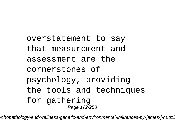overstatement to say that measurement and assessment are the cornerstones of psychology, providing the tools and techniques for gathering Page 192/258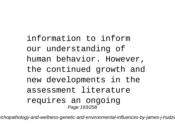information to inform our understanding of human behavior. However, the continued growth and new developments in the assessment literature requires an ongoing Page 193/258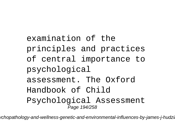examination of the principles and practices of central importance to psychological assessment. The Oxford Handbook of Child Psychological Assessment Page 194/258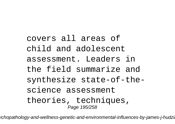covers all areas of child and adolescent assessment. Leaders in the field summarize and synthesize state-of-thescience assessment theories, techniques, Page 195/258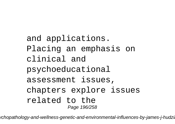and applications. Placing an emphasis on clinical and psychoeducational assessment issues, chapters explore issues related to the Page 196/258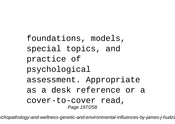foundations, models, special topics, and practice of psychological assessment. Appropriate as a desk reference or a cover-to-cover read, Page 197/258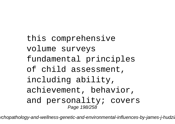this comprehensive volume surveys fundamental principles of child assessment, including ability, achievement, behavior, and personality; covers Page 198/258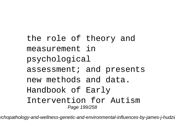the role of theory and measurement in psychological assessment; and presents new methods and data. Handbook of Early Intervention for Autism Page 199/258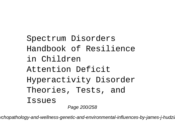Spectrum Disorders Handbook of Resilience in Children Attention Deficit Hyperactivity Disorder Theories, Tests, and Issues Page 200/258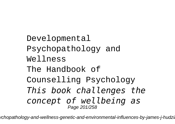Developmental Psychopathology and Wellness The Handbook of Counselling Psychology *This book challenges the concept of wellbeing as* Page 201/258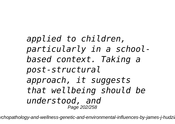*applied to children, particularly in a schoolbased context. Taking a post-structural approach, it suggests that wellbeing should be understood, and* Page 202/258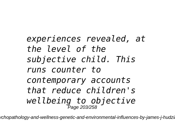*experiences revealed, at the level of the subjective child. This runs counter to contemporary accounts that reduce children's wellbeing to objective* Page 203/258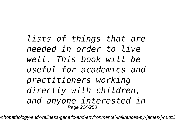*lists of things that are needed in order to live well. This book will be useful for academics and practitioners working directly with children, and anyone interested in* Page 204/258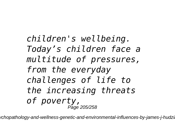*children's wellbeing. Today's children face a multitude of pressures, from the everyday challenges of life to the increasing threats of poverty,* Page 205/258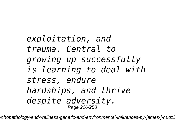*exploitation, and trauma. Central to growing up successfully is learning to deal with stress, endure hardships, and thrive despite adversity.* Page 206/258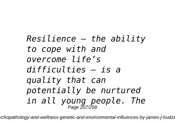*Resilience – the ability to cope with and overcome life's difficulties – is a quality that can potentially be nurtured in all young people. The* Page 207/258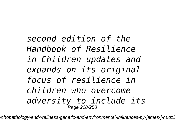*second edition of the Handbook of Resilience in Children updates and expands on its original focus of resilience in children who overcome adversity to include its* Page 208/258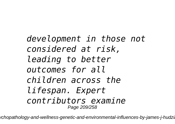*development in those not considered at risk, leading to better outcomes for all children across the lifespan. Expert contributors examine* Page 209/258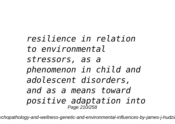*resilience in relation to environmental stressors, as a phenomenon in child and adolescent disorders, and as a means toward positive adaptation into* Page 210/258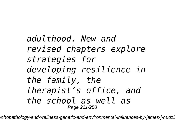*adulthood. New and revised chapters explore strategies for developing resilience in the family, the therapist's office, and the school as well as* Page 211/258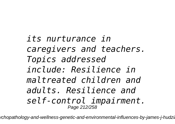*its nurturance in caregivers and teachers. Topics addressed include: Resilience in maltreated children and adults. Resilience and self-control impairment.* Page 212/258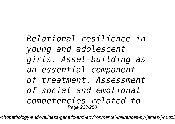*Relational resilience in young and adolescent girls. Asset-building as an essential component of treatment. Assessment of social and emotional competencies related to* Page 213/258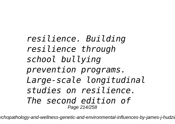*resilience. Building resilience through school bullying prevention programs. Large-scale longitudinal studies on resilience. The second edition of* Page 214/258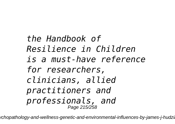## *the Handbook of Resilience in Children is a must-have reference for researchers, clinicians, allied practitioners and professionals, and* Page 215/258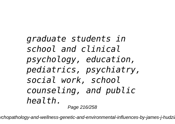*graduate students in school and clinical psychology, education, pediatrics, psychiatry, social work, school counseling, and public health.* Page 216/258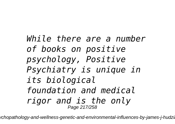# *While there are a number of books on positive psychology, Positive Psychiatry is unique in its biological foundation and medical rigor and is the only* Page 217/258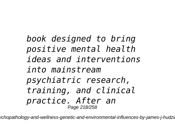# *book designed to bring positive mental health ideas and interventions into mainstream psychiatric research, training, and clinical practice. After an* Page 218/258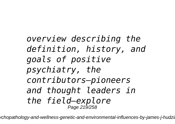# *overview describing the definition, history, and goals of positive psychiatry, the contributors—pioneers and thought leaders in the field—explore* Page 219/258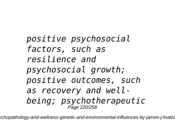*positive psychosocial factors, such as resilience and psychosocial growth; positive outcomes, such as recovery and wellbeing; psychotherapeutic* Page 220/258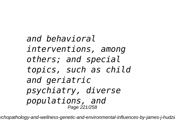*and behavioral interventions, among others; and special topics, such as child and geriatric psychiatry, diverse populations, and* Page 221/258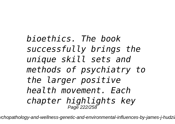*bioethics. The book successfully brings the unique skill sets and methods of psychiatry to the larger positive health movement. Each chapter highlights key* Page 222/258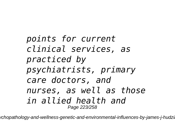# *points for current clinical services, as practiced by psychiatrists, primary care doctors, and nurses, as well as those in allied health and* Page 223/258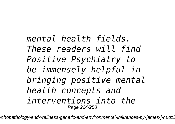# *mental health fields. These readers will find Positive Psychiatry to be immensely helpful in bringing positive mental health concepts and interventions into the* Page 224/258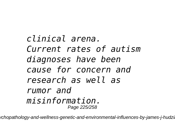*clinical arena. Current rates of autism diagnoses have been cause for concern and research as well as rumor and misinformation.* Page 225/258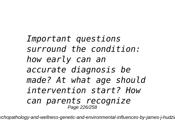*Important questions surround the condition: how early can an accurate diagnosis be made? At what age should intervention start? How can parents recognize* Page 226/258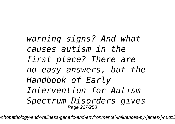*warning signs? And what causes autism in the first place? There are no easy answers, but the Handbook of Early Intervention for Autism Spectrum Disorders gives* Page 227/258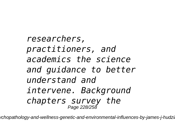*researchers, practitioners, and academics the science and guidance to better understand and intervene. Background chapters survey the* Page 228/258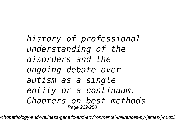*history of professional understanding of the disorders and the ongoing debate over autism as a single entity or a continuum. Chapters on best methods* Page 229/258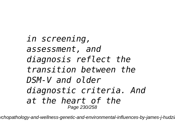*in screening, assessment, and diagnosis reflect the transition between the DSM-V and older diagnostic criteria. And at the heart of the* Page 230/258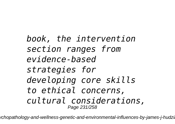# *book, the intervention section ranges from evidence-based strategies for developing core skills to ethical concerns, cultural considerations,* Page 231/258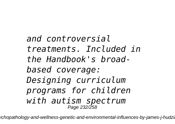*and controversial treatments. Included in the Handbook's broadbased coverage: Designing curriculum programs for children with autism spectrum* Page 232/258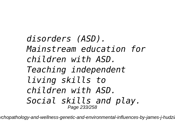*disorders (ASD). Mainstream education for children with ASD. Teaching independent living skills to children with ASD. Social skills and play.* Page 233/258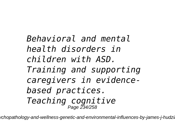*Behavioral and mental health disorders in children with ASD. Training and supporting caregivers in evidencebased practices. Teaching cognitive* Page 234/258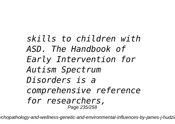*skills to children with ASD. The Handbook of Early Intervention for Autism Spectrum Disorders is a comprehensive reference for researchers,* Page 235/258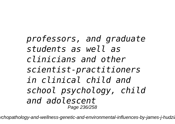*professors, and graduate students as well as clinicians and other scientist-practitioners in clinical child and school psychology, child and adolescent* Page 236/258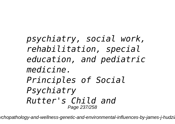*psychiatry, social work, rehabilitation, special education, and pediatric medicine. Principles of Social Psychiatry Rutter's Child and* Page 237/258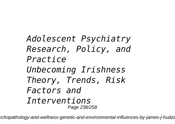*Adolescent Psychiatry Research, Policy, and Practice Unbecoming Irishness Theory, Trends, Risk Factors and Interventions* Page 238/258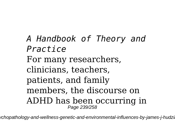*A Handbook of Theory and Practice* For many researchers, clinicians, teachers, patients, and family members, the discourse on ADHD has been occurring in Page 239/258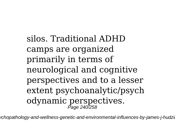silos. Traditional ADHD camps are organized primarily in terms of neurological and cognitive perspectives and to a lesser extent psychoanalytic/psych odynamic perspectives.<br>  $\frac{P_{\text{age 240/258}}}{P_{\text{age 240/258}}}$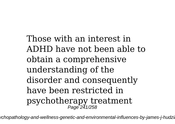Those with an interest in ADHD have not been able to obtain a comprehensive understanding of the disorder and consequently have been restricted in psychotherapy treatment Page 241/258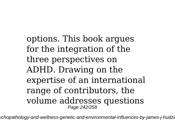options. This book argues for the integration of the three perspectives on ADHD. Drawing on the expertise of an international range of contributors, the volume addresses questions Page 242/258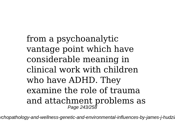from a psychoanalytic vantage point which have considerable meaning in clinical work with children who have ADHD. They examine the role of trauma and attachment problems as Page 243/258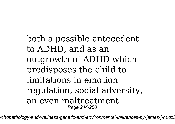both a possible antecedent to ADHD, and as an outgrowth of ADHD which predisposes the child to limitations in emotion regulation, social adversity, an even maltreatment. Page 244/258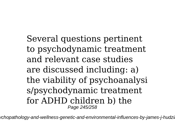Several questions pertinent to psychodynamic treatment and relevant case studies are discussed including: a) the viability of psychoanalysi s/psychodynamic treatment for ADHD children b) the Page 245/258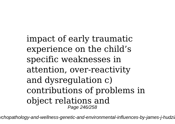impact of early traumatic experience on the child's specific weaknesses in attention, over-reactivity and dysregulation c) contributions of problems in object relations and Page 246/258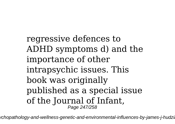regressive defences to ADHD symptoms d) and the importance of other intrapsychic issues. This book was originally published as a special issue of the Journal of Infant, Page 247/258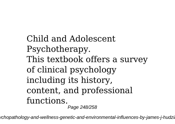Child and Adolescent Psychotherapy. This textbook offers a survey of clinical psychology including its history, content, and professional functions. Page 248/258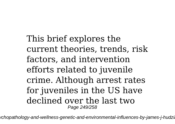This brief explores the current theories, trends, risk factors, and intervention efforts related to juvenile crime. Although arrest rates for juveniles in the US have declined over the last two Page 249/258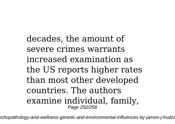decades, the amount of severe crimes warrants increased examination as the US reports higher rates than most other developed countries. The authors examine individual, family, Page 250/258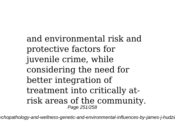and environmental risk and protective factors for juvenile crime, while considering the need for better integration of treatment into critically atrisk areas of the community. Page 251/258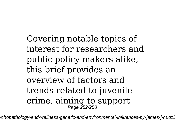Covering notable topics of interest for researchers and public policy makers alike, this brief provides an overview of factors and trends related to juvenile crime, aiming to support Page 252/258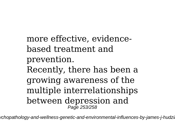more effective, evidencebased treatment and prevention. Recently, there has been a growing awareness of the multiple interrelationships between depression and Page 253/258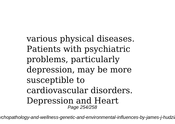various physical diseases. Patients with psychiatric problems, particularly depression, may be more susceptible to cardiovascular disorders. Depression and Heart Page 254/258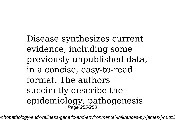Disease synthesizes current evidence, including some previously unpublished data, in a concise, easy-to-read format. The authors succinctly describe the epidemiology, pathogenesis Page 255/258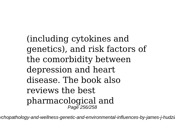(including cytokines and genetics), and risk factors of the comorbidity between depression and heart disease. The book also reviews the best pharmacological and Page 256/258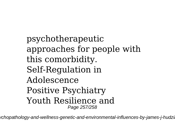psychotherapeutic approaches for people with this comorbidity. Self-Regulation in Adolescence Positive Psychiatry Youth Resilience and Page 257/258